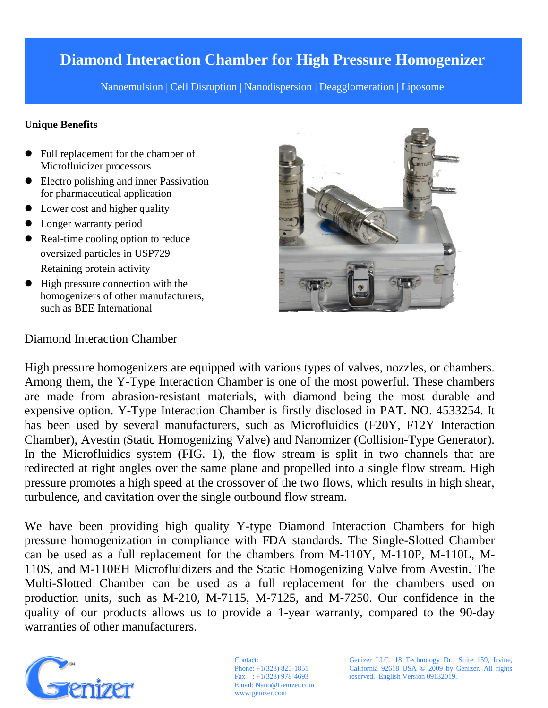## **Diamond Interaction Chamber for High Pressure Homogenizer**

Nanoemulsion | Cell Disruption | Nanodispersion | Deagglomeration | Liposome

### **Unique Benefits**

- Full replacement for the chamber of Microfluidizer processors
- Electro polishing and inner Passivation for pharmaceutical application
- Lower cost and higher quality
- Longer warranty period
- Real-time cooling option to reduce oversized particles in USP729 Retaining protein activity
- High pressure connection with the homogenizers of other manufacturers, such as BEE International



### Diamond Interaction Chamber

High pressure homogenizers are equipped with various types of valves, nozzles, or chambers. Among them, the Y-Type Interaction Chamber is one of the most powerful. These chambers are made from abrasion-resistant materials, with diamond being the most durable and expensive option. Y-Type Interaction Chamber is firstly disclosed in PAT. NO. 4533254. It has been used by several manufacturers, such as Microfluidics (F20Y, F12Y Interaction Chamber), Avestin (Static Homogenizing Valve) and Nanomizer (Collision-Type Generator). In the Microfluidics system (FIG. 1), the flow stream is split in two channels that are redirected at right angles over the same plane and propelled into a single flow stream. High pressure promotes a high speed at the crossover of the two flows, which results in high shear, turbulence, and cavitation over the single outbound flow stream.

We have been providing high quality Y-type Diamond Interaction Chambers for high pressure homogenization in compliance with FDA standards. The Single-Slotted Chamber can be used as a full replacement for the chambers from M-110Y, M-110P, M-110L, M-110S, and M-110EH Microfluidizers and the Static Homogenizing Valve from Avestin. The Multi-Slotted Chamber can be used as a full replacement for the chambers used on production units, such as M-210, M-7115, M-7125, and M-7250. Our confidence in the quality of our products allows us to provide a 1-year warranty, compared to the 90-day warranties of other manufacturers.



Contact: Phone: +1(323) 825-1851 Fax  $\therefore$  +1(323) 978-4693 Email: Nano@Genizer.com www.genizer.com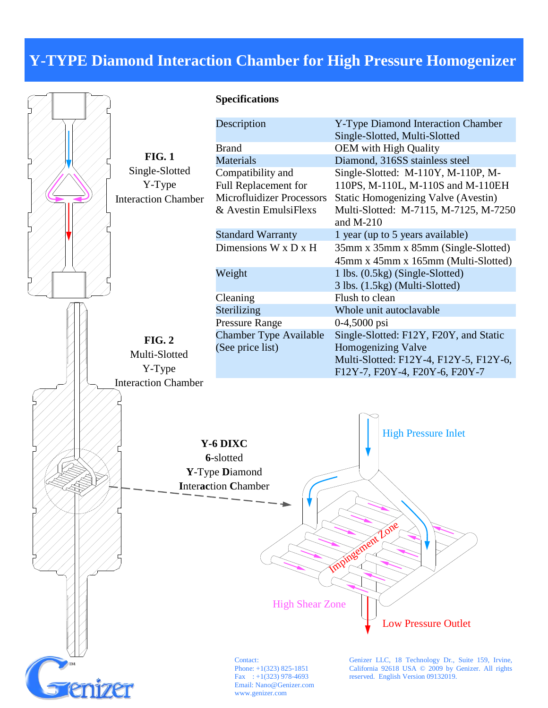## **Y-TYPE Diamond Interaction Chamber for High Pressure Homogenizer**



www.genizer.com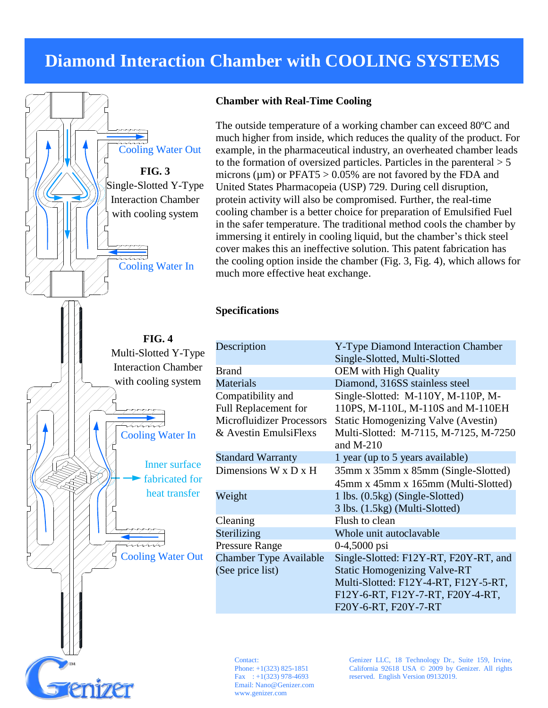## **Diamond Interaction Chamber with COOLING SYSTEMS**



#### **Chamber with Real-Time Cooling**

The outside temperature of a working chamber can exceed 80  $\mathbb{C}$  and much higher from inside, which reduces the quality of the product. For example, in the pharmaceutical industry, an overheated chamber leads to the formation of oversized particles. Particles in the parenteral  $> 5$ microns ( $\mu$ m) or PFAT5 > 0.05% are not favored by the FDA and United States Pharmacopeia (USP) 729. During cell disruption, protein activity will also be compromised. Further, the real-time cooling chamber is a better choice for preparation of Emulsified Fuel in the safer temperature. The traditional method cools the chamber by immersing it entirely in cooling liquid, but the chamber's thick steel cover makes this an ineffective solution. This patent fabrication has the cooling option inside the chamber (Fig. 3, Fig. 4), which allows for much more effective heat exchange.

### **Specifications**

| Description                      | Y-Type Diamond Interaction Chamber<br>Single-Slotted, Multi-Slotted |  |
|----------------------------------|---------------------------------------------------------------------|--|
| <b>Brand</b>                     | <b>OEM</b> with High Quality                                        |  |
| <b>Materials</b>                 | Diamond, 316SS stainless steel                                      |  |
| Compatibility and                | Single-Slotted: M-110Y, M-110P, M-                                  |  |
| Full Replacement for             | 110PS, M-110L, M-110S and M-110EH                                   |  |
| <b>Microfluidizer Processors</b> | <b>Static Homogenizing Valve (Avestin)</b>                          |  |
| & Avestin EmulsiFlexs            | Multi-Slotted: M-7115, M-7125, M-7250<br>and $M-210$                |  |
| <b>Standard Warranty</b>         | 1 year (up to 5 years available)                                    |  |
| Dimensions $W \times D \times H$ | 35mm x 35mm x 85mm (Single-Slotted)                                 |  |
|                                  | 45mm x 45mm x 165mm (Multi-Slotted)                                 |  |
| Weight                           | 1 lbs. (0.5kg) (Single-Slotted)                                     |  |
|                                  | 3 lbs. (1.5kg) (Multi-Slotted)                                      |  |
| Cleaning                         | Flush to clean                                                      |  |
| Sterilizing                      | Whole unit autoclavable                                             |  |
| <b>Pressure Range</b>            | $0-4,5000$ psi                                                      |  |
| <b>Chamber Type Available</b>    | Single-Slotted: F12Y-RT, F20Y-RT, and                               |  |
| (See price list)                 | <b>Static Homogenizing Valve-RT</b>                                 |  |
|                                  | Multi-Slotted: F12Y-4-RT, F12Y-5-RT,                                |  |
|                                  | F12Y-6-RT, F12Y-7-RT, F20Y-4-RT,                                    |  |
|                                  | F20Y-6-RT, F20Y-7-RT                                                |  |

Contact: Phone: +1(323) 825-1851 Fax  $\therefore$  +1(323) 978-4693 Email: Nano@Genizer.com www.genizer.com

Genizer LLC, 18 Technology Dr., Suite 159, Irvine, California 92618 USA © 2009 by Genizer. All rights reserved. English Version 09132019.